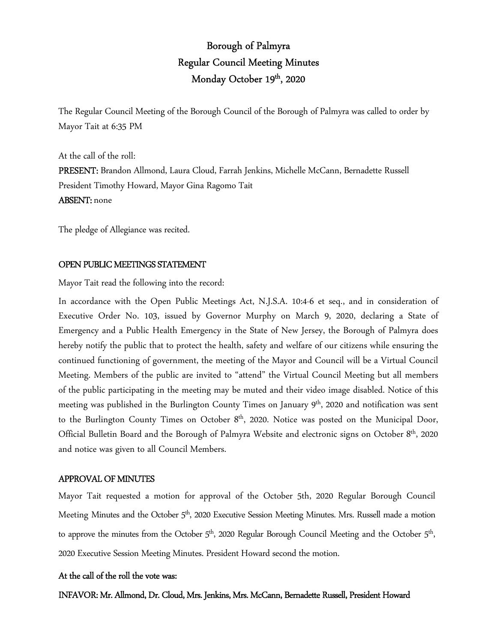# Borough of Palmyra Regular Council Meeting Minutes Monday October 19<sup>th</sup>, 2020

The Regular Council Meeting of the Borough Council of the Borough of Palmyra was called to order by Mayor Tait at 6:35 PM

At the call of the roll: PRESENT: Brandon Allmond, Laura Cloud, Farrah Jenkins, Michelle McCann, Bernadette Russell President Timothy Howard, Mayor Gina Ragomo Tait ABSENT: none

The pledge of Allegiance was recited.

#### OPEN PUBLIC MEETINGS STATEMENT

Mayor Tait read the following into the record:

In accordance with the Open Public Meetings Act, N.J.S.A. 10:4-6 et seq., and in consideration of Executive Order No. 103, issued by Governor Murphy on March 9, 2020, declaring a State of Emergency and a Public Health Emergency in the State of New Jersey, the Borough of Palmyra does hereby notify the public that to protect the health, safety and welfare of our citizens while ensuring the continued functioning of government, the meeting of the Mayor and Council will be a Virtual Council Meeting. Members of the public are invited to "attend" the Virtual Council Meeting but all members of the public participating in the meeting may be muted and their video image disabled. Notice of this meeting was published in the Burlington County Times on January  $9<sup>th</sup>$ , 2020 and notification was sent to the Burlington County Times on October 8<sup>th</sup>, 2020. Notice was posted on the Municipal Door, Official Bulletin Board and the Borough of Palmyra Website and electronic signs on October 8<sup>th</sup>, 2020 and notice was given to all Council Members.

### APPROVAL OF MINUTES

Mayor Tait requested a motion for approval of the October 5th, 2020 Regular Borough Council Meeting Minutes and the October 5<sup>th</sup>, 2020 Executive Session Meeting Minutes. Mrs. Russell made a motion to approve the minutes from the October  $5<sup>th</sup>$ , 2020 Regular Borough Council Meeting and the October  $5<sup>th</sup>$ , 2020 Executive Session Meeting Minutes. President Howard second the motion.

#### At the call of the roll the vote was:

INFAVOR: Mr. Allmond, Dr. Cloud, Mrs. Jenkins, Mrs. McCann, Bernadette Russell, President Howard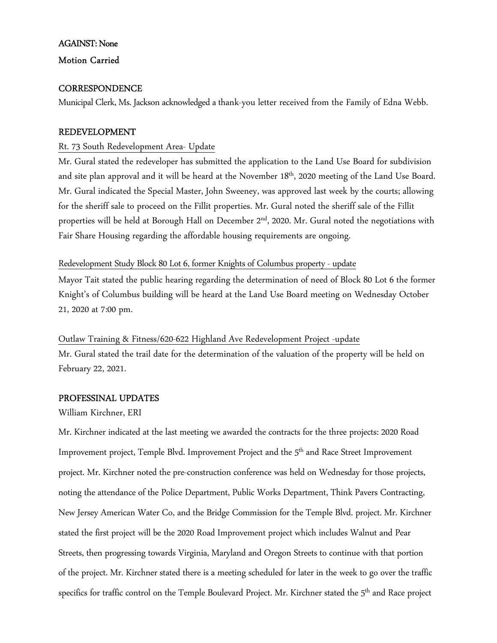### AGAINST: None

#### Motion Carried

#### **CORRESPONDENCE**

Municipal Clerk, Ms. Jackson acknowledged a thank-you letter received from the Family of Edna Webb.

#### REDEVELOPMENT

#### Rt. 73 South Redevelopment Area- Update

Mr. Gural stated the redeveloper has submitted the application to the Land Use Board for subdivision and site plan approval and it will be heard at the November 18<sup>th</sup>, 2020 meeting of the Land Use Board. Mr. Gural indicated the Special Master, John Sweeney, was approved last week by the courts; allowing for the sheriff sale to proceed on the Fillit properties. Mr. Gural noted the sheriff sale of the Fillit properties will be held at Borough Hall on December 2<sup>nd</sup>, 2020. Mr. Gural noted the negotiations with Fair Share Housing regarding the affordable housing requirements are ongoing.

#### Redevelopment Study Block 80 Lot 6, former Knights of Columbus property - update

Mayor Tait stated the public hearing regarding the determination of need of Block 80 Lot 6 the former Knight's of Columbus building will be heard at the Land Use Board meeting on Wednesday October 21, 2020 at 7:00 pm.

### Outlaw Training & Fitness/620-622 Highland Ave Redevelopment Project -update

Mr. Gural stated the trail date for the determination of the valuation of the property will be held on February 22, 2021.

#### PROFESSINAL UPDATES

#### William Kirchner, ERI

Mr. Kirchner indicated at the last meeting we awarded the contracts for the three projects: 2020 Road Improvement project, Temple Blvd. Improvement Project and the 5<sup>th</sup> and Race Street Improvement project. Mr. Kirchner noted the pre-construction conference was held on Wednesday for those projects, noting the attendance of the Police Department, Public Works Department, Think Pavers Contracting, New Jersey American Water Co, and the Bridge Commission for the Temple Blvd. project. Mr. Kirchner stated the first project will be the 2020 Road Improvement project which includes Walnut and Pear Streets, then progressing towards Virginia, Maryland and Oregon Streets to continue with that portion of the project. Mr. Kirchner stated there is a meeting scheduled for later in the week to go over the traffic specifics for traffic control on the Temple Boulevard Project. Mr. Kirchner stated the 5<sup>th</sup> and Race project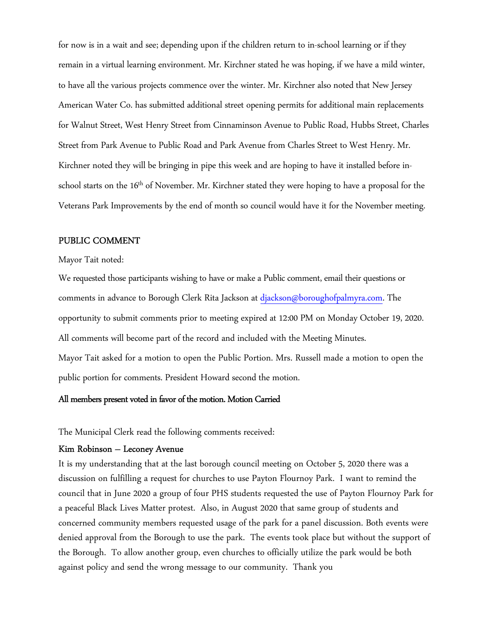for now is in a wait and see; depending upon if the children return to in-school learning or if they remain in a virtual learning environment. Mr. Kirchner stated he was hoping, if we have a mild winter, to have all the various projects commence over the winter. Mr. Kirchner also noted that New Jersey American Water Co. has submitted additional street opening permits for additional main replacements for Walnut Street, West Henry Street from Cinnaminson Avenue to Public Road, Hubbs Street, Charles Street from Park Avenue to Public Road and Park Avenue from Charles Street to West Henry. Mr. Kirchner noted they will be bringing in pipe this week and are hoping to have it installed before inschool starts on the 16<sup>th</sup> of November. Mr. Kirchner stated they were hoping to have a proposal for the Veterans Park Improvements by the end of month so council would have it for the November meeting.

#### PUBLIC COMMENT

#### Mayor Tait noted:

We requested those participants wishing to have or make a Public comment, email their questions or comments in advance to Borough Clerk Rita Jackson at djackson@boroughofpalmyra.com. The opportunity to submit comments prior to meeting expired at 12:00 PM on Monday October 19, 2020. All comments will become part of the record and included with the Meeting Minutes. Mayor Tait asked for a motion to open the Public Portion. Mrs. Russell made a motion to open the public portion for comments. President Howard second the motion.

#### All members present voted in favor of the motion. Motion Carried

The Municipal Clerk read the following comments received:

#### Kim Robinson – Leconey Avenue

It is my understanding that at the last borough council meeting on October 5, 2020 there was a discussion on fulfilling a request for churches to use Payton Flournoy Park. I want to remind the council that in June 2020 a group of four PHS students requested the use of Payton Flournoy Park for a peaceful Black Lives Matter protest. Also, in August 2020 that same group of students and concerned community members requested usage of the park for a panel discussion. Both events were denied approval from the Borough to use the park. The events took place but without the support of the Borough. To allow another group, even churches to officially utilize the park would be both against policy and send the wrong message to our community. Thank you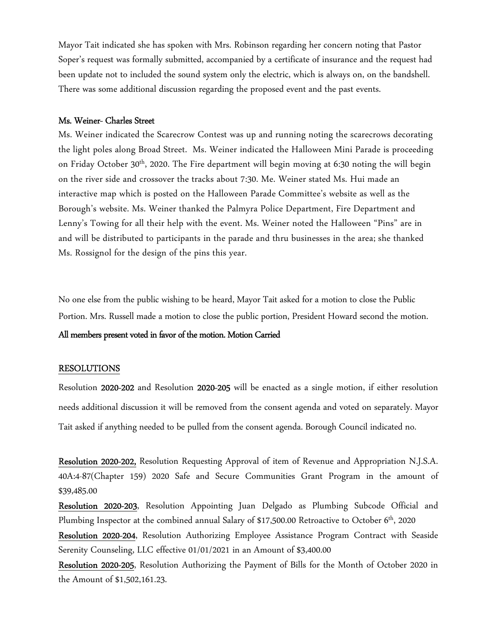Mayor Tait indicated she has spoken with Mrs. Robinson regarding her concern noting that Pastor Soper's request was formally submitted, accompanied by a certificate of insurance and the request had been update not to included the sound system only the electric, which is always on, on the bandshell. There was some additional discussion regarding the proposed event and the past events.

#### Ms. Weiner- Charles Street

Ms. Weiner indicated the Scarecrow Contest was up and running noting the scarecrows decorating the light poles along Broad Street. Ms. Weiner indicated the Halloween Mini Parade is proceeding on Friday October 30<sup>th</sup>, 2020. The Fire department will begin moving at 6:30 noting the will begin on the river side and crossover the tracks about 7:30. Me. Weiner stated Ms. Hui made an interactive map which is posted on the Halloween Parade Committee's website as well as the Borough's website. Ms. Weiner thanked the Palmyra Police Department, Fire Department and Lenny's Towing for all their help with the event. Ms. Weiner noted the Halloween "Pins" are in and will be distributed to participants in the parade and thru businesses in the area; she thanked Ms. Rossignol for the design of the pins this year.

No one else from the public wishing to be heard, Mayor Tait asked for a motion to close the Public Portion. Mrs. Russell made a motion to close the public portion, President Howard second the motion.

#### All members present voted in favor of the motion. Motion Carried

#### RESOLUTIONS

Resolution 2020-202 and Resolution 2020-205 will be enacted as a single motion, if either resolution needs additional discussion it will be removed from the consent agenda and voted on separately. Mayor Tait asked if anything needed to be pulled from the consent agenda. Borough Council indicated no.

Resolution 2020-202, Resolution Requesting Approval of item of Revenue and Appropriation N.J.S.A. 40A:4-87(Chapter 159) 2020 Safe and Secure Communities Grant Program in the amount of \$39,485.00

Resolution 2020-203, Resolution Appointing Juan Delgado as Plumbing Subcode Official and Plumbing Inspector at the combined annual Salary of \$17,500.00 Retroactive to October  $6<sup>th</sup>$ , 2020

Resolution 2020-204, Resolution Authorizing Employee Assistance Program Contract with Seaside Serenity Counseling, LLC effective 01/01/2021 in an Amount of \$3,400.00

Resolution 2020-205, Resolution Authorizing the Payment of Bills for the Month of October 2020 in the Amount of \$1,502,161.23.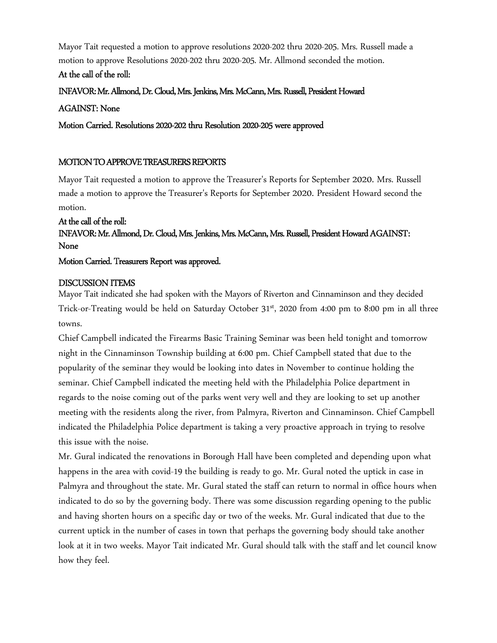Mayor Tait requested a motion to approve resolutions 2020-202 thru 2020-205. Mrs. Russell made a motion to approve Resolutions 2020-202 thru 2020-205. Mr. Allmond seconded the motion.

### At the call of the roll:

INFAVOR: Mr. Allmond, Dr. Cloud, Mrs. Jenkins, Mrs. McCann, Mrs. Russell, President Howard

### AGAINST: None

Motion Carried. Resolutions 2020-202 thru Resolution 2020-205 were approved

### MOTION TO APPROVE TREASURERS REPORTS

Mayor Tait requested a motion to approve the Treasurer's Reports for September 2020. Mrs. Russell made a motion to approve the Treasurer's Reports for September 2020. President Howard second the motion.

## At the call of the roll: INFAVOR: Mr. Allmond, Dr. Cloud, Mrs. Jenkins, Mrs. McCann, Mrs. Russell, President Howard AGAINST: None

### Motion Carried. Treasurers Report was approved.

### DISCUSSION ITEMS

Mayor Tait indicated she had spoken with the Mayors of Riverton and Cinnaminson and they decided Trick-or-Treating would be held on Saturday October 31<sup>st</sup>, 2020 from 4:00 pm to 8:00 pm in all three towns.

Chief Campbell indicated the Firearms Basic Training Seminar was been held tonight and tomorrow night in the Cinnaminson Township building at 6:00 pm. Chief Campbell stated that due to the popularity of the seminar they would be looking into dates in November to continue holding the seminar. Chief Campbell indicated the meeting held with the Philadelphia Police department in regards to the noise coming out of the parks went very well and they are looking to set up another meeting with the residents along the river, from Palmyra, Riverton and Cinnaminson. Chief Campbell indicated the Philadelphia Police department is taking a very proactive approach in trying to resolve this issue with the noise.

Mr. Gural indicated the renovations in Borough Hall have been completed and depending upon what happens in the area with covid-19 the building is ready to go. Mr. Gural noted the uptick in case in Palmyra and throughout the state. Mr. Gural stated the staff can return to normal in office hours when indicated to do so by the governing body. There was some discussion regarding opening to the public and having shorten hours on a specific day or two of the weeks. Mr. Gural indicated that due to the current uptick in the number of cases in town that perhaps the governing body should take another look at it in two weeks. Mayor Tait indicated Mr. Gural should talk with the staff and let council know how they feel.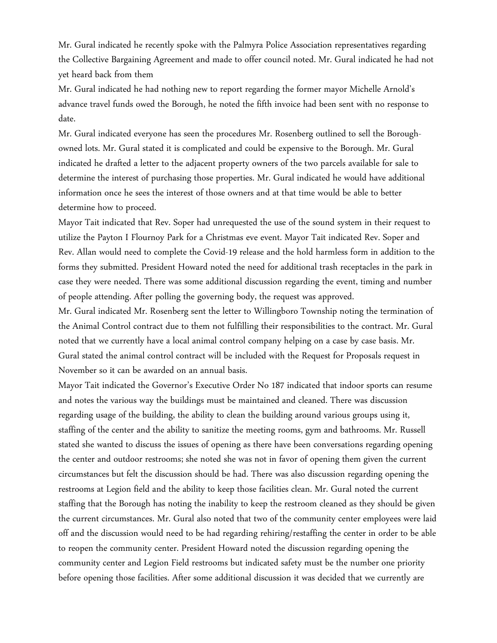Mr. Gural indicated he recently spoke with the Palmyra Police Association representatives regarding the Collective Bargaining Agreement and made to offer council noted. Mr. Gural indicated he had not yet heard back from them

Mr. Gural indicated he had nothing new to report regarding the former mayor Michelle Arnold's advance travel funds owed the Borough, he noted the fifth invoice had been sent with no response to date.

Mr. Gural indicated everyone has seen the procedures Mr. Rosenberg outlined to sell the Boroughowned lots. Mr. Gural stated it is complicated and could be expensive to the Borough. Mr. Gural indicated he drafted a letter to the adjacent property owners of the two parcels available for sale to determine the interest of purchasing those properties. Mr. Gural indicated he would have additional information once he sees the interest of those owners and at that time would be able to better determine how to proceed.

Mayor Tait indicated that Rev. Soper had unrequested the use of the sound system in their request to utilize the Payton I Flournoy Park for a Christmas eve event. Mayor Tait indicated Rev. Soper and Rev. Allan would need to complete the Covid-19 release and the hold harmless form in addition to the forms they submitted. President Howard noted the need for additional trash receptacles in the park in case they were needed. There was some additional discussion regarding the event, timing and number of people attending. After polling the governing body, the request was approved.

Mr. Gural indicated Mr. Rosenberg sent the letter to Willingboro Township noting the termination of the Animal Control contract due to them not fulfilling their responsibilities to the contract. Mr. Gural noted that we currently have a local animal control company helping on a case by case basis. Mr. Gural stated the animal control contract will be included with the Request for Proposals request in November so it can be awarded on an annual basis.

Mayor Tait indicated the Governor's Executive Order No 187 indicated that indoor sports can resume and notes the various way the buildings must be maintained and cleaned. There was discussion regarding usage of the building, the ability to clean the building around various groups using it, staffing of the center and the ability to sanitize the meeting rooms, gym and bathrooms. Mr. Russell stated she wanted to discuss the issues of opening as there have been conversations regarding opening the center and outdoor restrooms; she noted she was not in favor of opening them given the current circumstances but felt the discussion should be had. There was also discussion regarding opening the restrooms at Legion field and the ability to keep those facilities clean. Mr. Gural noted the current staffing that the Borough has noting the inability to keep the restroom cleaned as they should be given the current circumstances. Mr. Gural also noted that two of the community center employees were laid off and the discussion would need to be had regarding rehiring/restaffing the center in order to be able to reopen the community center. President Howard noted the discussion regarding opening the community center and Legion Field restrooms but indicated safety must be the number one priority before opening those facilities. After some additional discussion it was decided that we currently are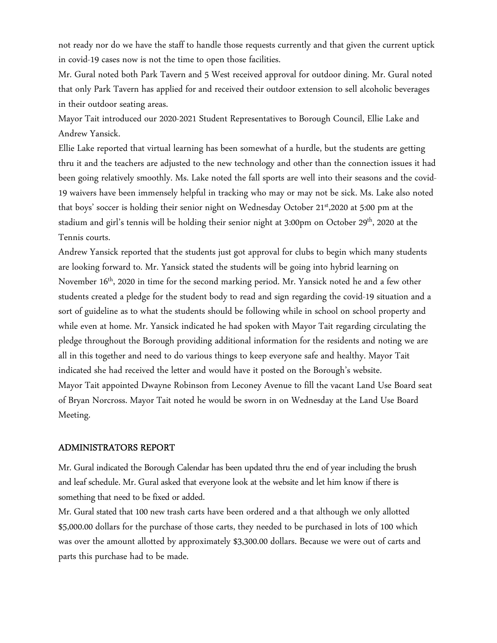not ready nor do we have the staff to handle those requests currently and that given the current uptick in covid-19 cases now is not the time to open those facilities.

Mr. Gural noted both Park Tavern and 5 West received approval for outdoor dining. Mr. Gural noted that only Park Tavern has applied for and received their outdoor extension to sell alcoholic beverages in their outdoor seating areas.

Mayor Tait introduced our 2020-2021 Student Representatives to Borough Council, Ellie Lake and Andrew Yansick.

Ellie Lake reported that virtual learning has been somewhat of a hurdle, but the students are getting thru it and the teachers are adjusted to the new technology and other than the connection issues it had been going relatively smoothly. Ms. Lake noted the fall sports are well into their seasons and the covid-19 waivers have been immensely helpful in tracking who may or may not be sick. Ms. Lake also noted that boys' soccer is holding their senior night on Wednesday October 21<sup>st</sup>,2020 at 5:00 pm at the stadium and girl's tennis will be holding their senior night at 3:00pm on October 29<sup>th</sup>, 2020 at the Tennis courts.

Andrew Yansick reported that the students just got approval for clubs to begin which many students are looking forward to. Mr. Yansick stated the students will be going into hybrid learning on November 16<sup>th</sup>, 2020 in time for the second marking period. Mr. Yansick noted he and a few other students created a pledge for the student body to read and sign regarding the covid-19 situation and a sort of guideline as to what the students should be following while in school on school property and while even at home. Mr. Yansick indicated he had spoken with Mayor Tait regarding circulating the pledge throughout the Borough providing additional information for the residents and noting we are all in this together and need to do various things to keep everyone safe and healthy. Mayor Tait indicated she had received the letter and would have it posted on the Borough's website. Mayor Tait appointed Dwayne Robinson from Leconey Avenue to fill the vacant Land Use Board seat of Bryan Norcross. Mayor Tait noted he would be sworn in on Wednesday at the Land Use Board Meeting.

#### ADMINISTRATORS REPORT

Mr. Gural indicated the Borough Calendar has been updated thru the end of year including the brush and leaf schedule. Mr. Gural asked that everyone look at the website and let him know if there is something that need to be fixed or added.

Mr. Gural stated that 100 new trash carts have been ordered and a that although we only allotted \$5,000.00 dollars for the purchase of those carts, they needed to be purchased in lots of 100 which was over the amount allotted by approximately \$3,300.00 dollars. Because we were out of carts and parts this purchase had to be made.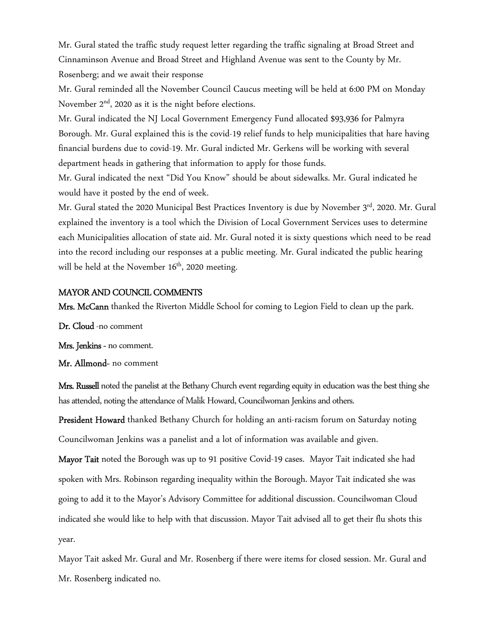Mr. Gural stated the traffic study request letter regarding the traffic signaling at Broad Street and Cinnaminson Avenue and Broad Street and Highland Avenue was sent to the County by Mr. Rosenberg; and we await their response

Mr. Gural reminded all the November Council Caucus meeting will be held at 6:00 PM on Monday November 2nd, 2020 as it is the night before elections.

Mr. Gural indicated the NJ Local Government Emergency Fund allocated \$93,936 for Palmyra Borough. Mr. Gural explained this is the covid-19 relief funds to help municipalities that hare having financial burdens due to covid-19. Mr. Gural indicted Mr. Gerkens will be working with several department heads in gathering that information to apply for those funds.

Mr. Gural indicated the next "Did You Know" should be about sidewalks. Mr. Gural indicated he would have it posted by the end of week.

Mr. Gural stated the 2020 Municipal Best Practices Inventory is due by November 3rd, 2020. Mr. Gural explained the inventory is a tool which the Division of Local Government Services uses to determine each Municipalities allocation of state aid. Mr. Gural noted it is sixty questions which need to be read into the record including our responses at a public meeting. Mr. Gural indicated the public hearing will be held at the November  $16<sup>th</sup>$ , 2020 meeting.

### MAYOR AND COUNCIL COMMENTS

Mrs. McCann thanked the Riverton Middle School for coming to Legion Field to clean up the park.

Dr. Cloud -no comment

Mrs. Jenkins - no comment.

Mr. Allmond- no comment

Mrs. Russell noted the panelist at the Bethany Church event regarding equity in education was the best thing she has attended, noting the attendance of Malik Howard, Councilwoman Jenkins and others.

President Howard thanked Bethany Church for holding an anti-racism forum on Saturday noting Councilwoman Jenkins was a panelist and a lot of information was available and given.

Mayor Tait noted the Borough was up to 91 positive Covid-19 cases. Mayor Tait indicated she had spoken with Mrs. Robinson regarding inequality within the Borough. Mayor Tait indicated she was going to add it to the Mayor's Advisory Committee for additional discussion. Councilwoman Cloud indicated she would like to help with that discussion. Mayor Tait advised all to get their flu shots this year.

Mayor Tait asked Mr. Gural and Mr. Rosenberg if there were items for closed session. Mr. Gural and Mr. Rosenberg indicated no.